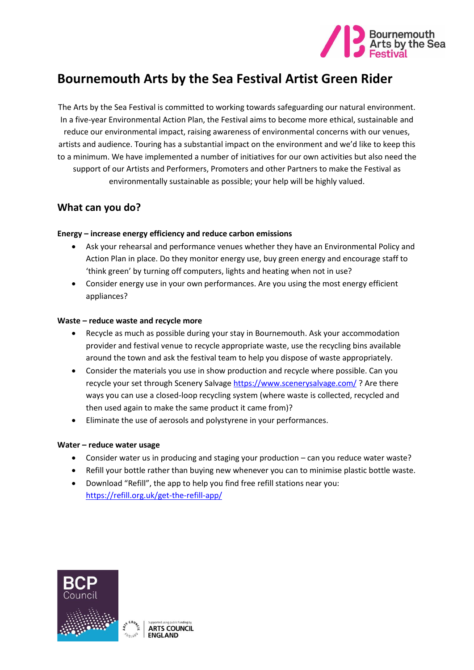

# **Bournemouth Arts by the Sea Festival Artist Green Rider**

The Arts by the Sea Festival is committed to working towards safeguarding our natural environment. In a five-year Environmental Action Plan, the Festival aims to become more ethical, sustainable and reduce our environmental impact, raising awareness of environmental concerns with our venues, artists and audience. Touring has a substantial impact on the environment and we'd like to keep this to a minimum. We have implemented a number of initiatives for our own activities but also need the support of our Artists and Performers, Promoters and other Partners to make the Festival as environmentally sustainable as possible; your help will be highly valued.

## **What can you do?**

### **Energy – increase energy efficiency and reduce carbon emissions**

- Ask your rehearsal and performance venues whether they have an Environmental Policy and Action Plan in place. Do they monitor energy use, buy green energy and encourage staff to 'think green' by turning off computers, lights and heating when not in use?
- Consider energy use in your own performances. Are you using the most energy efficient appliances?

#### **Waste – reduce waste and recycle more**

- Recycle as much as possible during your stay in Bournemouth. Ask your accommodation provider and festival venue to recycle appropriate waste, use the recycling bins available around the town and ask the festival team to help you dispose of waste appropriately.
- Consider the materials you use in show production and recycle where possible. Can you recycle your set through Scenery Salvage <https://www.scenerysalvage.com/>? Are there ways you can use a closed-loop recycling system (where waste is collected, recycled and then used again to make the same product it came from)?
- Eliminate the use of aerosols and polystyrene in your performances.

### **Water – reduce water usage**

- Consider water us in producing and staging your production can you reduce water waste?
- Refill your bottle rather than buying new whenever you can to minimise plastic bottle waste.
- Download "Refill", the app to help you find free refill stations near you: <https://refill.org.uk/get-the-refill-app/>

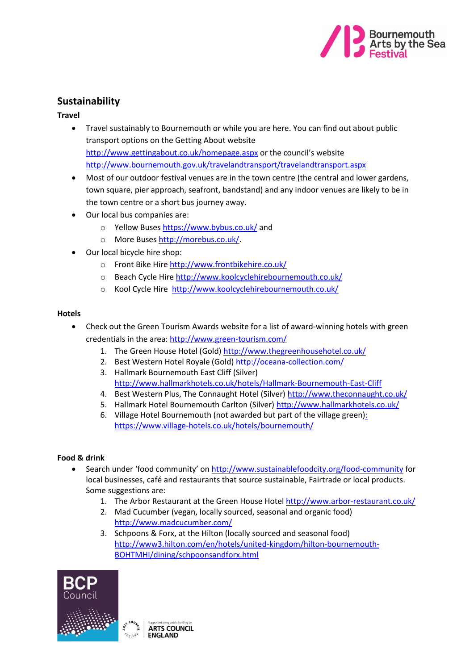

# **Sustainability**

### **Travel**

- Travel sustainably to Bournemouth or while you are here. You can find out about public transport options on the Getting About website <http://www.gettingabout.co.uk/homepage.aspx> or the council's website <http://www.bournemouth.gov.uk/travelandtransport/travelandtransport.aspx>
- Most of our outdoor festival venues are in the town centre (the central and lower gardens, town square, pier approach, seafront, bandstand) and any indoor venues are likely to be in the town centre or a short bus journey away.
- Our local bus companies are:
	- o Yellow Buses<https://www.bybus.co.uk/> and
	- o More Buses [http://morebus.co.uk/.](http://morebus.co.uk/)
- Our local bicycle hire shop:
	- o Front Bike Hire<http://www.frontbikehire.co.uk/>
	- o Beach Cycle Hire<http://www.koolcyclehirebournemouth.co.uk/>
	- o Kool Cycle Hire <http://www.koolcyclehirebournemouth.co.uk/>

### **Hotels**

- Check out the Green Tourism Awards website for a list of award-winning hotels with green credentials in the area: <http://www.green-tourism.com/>
	- 1. The Green House Hotel (Gold)<http://www.thegreenhousehotel.co.uk/>
	- 2. Best Western Hotel Royale (Gold)<http://oceana-collection.com/>
	- 3. Hallmark Bournemouth East Cliff (Silver) <http://www.hallmarkhotels.co.uk/hotels/Hallmark-Bournemouth-East-Cliff>
	- 4. Best Western Plus, The Connaught Hotel (Silver)<http://www.theconnaught.co.uk/>
	- 5. Hallmark Hotel Bournemouth Carlton (Silver)<http://www.hallmarkhotels.co.uk/>
	- 6. Village Hotel Bournemouth (not awarded but part of the village green): <https://www.village-hotels.co.uk/hotels/bournemouth/>

### **Food & drink**

- Search under 'food community' on <http://www.sustainablefoodcity.org/food-community> for local businesses, café and restaurants that source sustainable, Fairtrade or local products. Some suggestions are:
	- 1. The Arbor Restaurant at the Green House Hotel <http://www.arbor-restaurant.co.uk/>
	- 2. Mad Cucumber (vegan, locally sourced, seasonal and organic food) <http://www.madcucumber.com/>
	- 3. Schpoons & Forx, at the Hilton (locally sourced and seasonal food) [http://www3.hilton.com/en/hotels/united-kingdom/hilton-bournemouth-](http://www3.hilton.com/en/hotels/united-kingdom/hilton-bournemouth-BOHTMHI/dining/schpoonsandforx.html)[BOHTMHI/dining/schpoonsandforx.html](http://www3.hilton.com/en/hotels/united-kingdom/hilton-bournemouth-BOHTMHI/dining/schpoonsandforx.html)